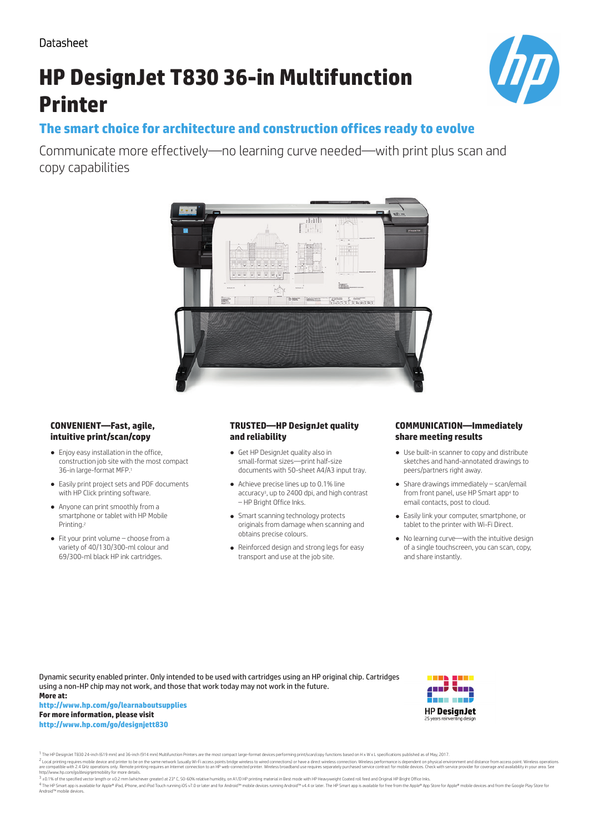Datasheet

# **HP DesignJet T830 36-in Multifunction Printer**



## **The smart choice for architecture and construction offices ready to evolve**

Communicate more effectively—no learning curve needed—with print plus scan and copy capabilities



### **CONVENIENT—Fast, agile, intuitive print/scan/copy**

- Enjoy easy installation in the office, construction job site with the most compact 36-in large-format MFP.<sup>1</sup>
- Easily print project sets and PDF documents with HP Click printing software.
- Anyone can print smoothly from a smartphone or tablet with HP Mobile Printing.<sup>2</sup>
- Fit your print volume choose from a variety of 40/130/300-ml colour and 69/300-ml black HP ink cartridges.

### **TRUSTED—HP DesignJet quality and reliability**

- Get HP DesignJet quality also in small-format sizes—print half-size documents with 50-sheet A4/A3 input tray.
- Achieve precise lines up to 0.1% line accuracy<sup>3</sup> , up to 2400 dpi, and high contrast – HP Bright Office Inks.
- Smart scanning technology protects originals from damage when scanning and obtains precise colours.
- Reinforced design and strong legs for easy transport and use at the job site.

### **COMMUNICATION—Immediately share meeting results**

- Use built-in scanner to copy and distribute sketches and hand-annotated drawings to peers/partners right away.
- Share drawings immediately scan/email from front panel, use HP Smart app<sup>4</sup> to email contacts, post to cloud.
- Easily link your computer, smartphone, or tablet to the printer with Wi-Fi Direct.
- No learning curve—with the intuitive design of a single touchscreen, you can scan, copy, and share instantly.

Dynamic security enabled printer. Only intended to be used with cartridges using an HP original chip. Cartridges using a non-HP chip may not work, and those that work today may not work in the future. **More at:**

#### **http://www.hp.com/go/learnaboutsupplies For more information, please visit http://www.hp.com/go/designjett830**



<sup>1</sup> The HP DesignJet T830 24-inch (619 mm) and 36-inch (914 mm) Multifunction Printers are the most compact large-format devices performing print/scan/copy functions based on H x W x L specifications published as of May, 2

<sup>2</sup> Local printing requires mobile device and printer to be on the same network (usually Wi-Fi access points bridge wireless to wired connections) or have a direct wireless connection. Wireless performance is dependent on http//www.hp.com/go/designjetmobility for more details.

3 ±0.1% of the specified vector length or ±0.2 mm (whichever greater) at 23° C, 50-60% relative humidity, on A1/D HP printing material in Best mode with HP Heavyweight Coated roll feed and Original HP Bright Office Inks.

4 The HP Smart app is available for Apple® iPad, iPhone, and iPod Touch running iOS v7.0 or later and for Android™ mobile devices running Android™ v4.4 or later. The HP Smart app is available for free from the Apple® App S Android™ mobile devices.